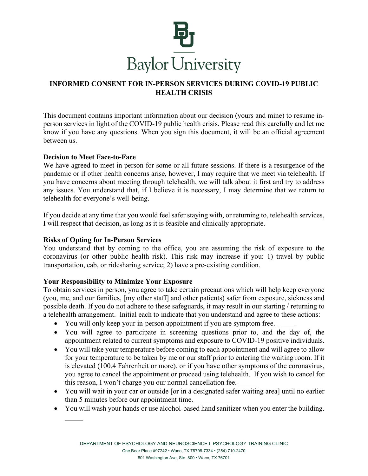

## **INFORMED CONSENT FOR IN-PERSON SERVICES DURING COVID-19 PUBLIC HEALTH CRISIS**

This document contains important information about our decision (yours and mine) to resume inperson services in light of the COVID-19 public health crisis. Please read this carefully and let me know if you have any questions. When you sign this document, it will be an official agreement between us.

#### **Decision to Meet Face-to-Face**

We have agreed to meet in person for some or all future sessions. If there is a resurgence of the pandemic or if other health concerns arise, however, I may require that we meet via telehealth. If you have concerns about meeting through telehealth, we will talk about it first and try to address any issues. You understand that, if I believe it is necessary, I may determine that we return to telehealth for everyone's well-being.

If you decide at any time that you would feel safer staying with, or returning to, telehealth services, I will respect that decision, as long as it is feasible and clinically appropriate.

### **Risks of Opting for In-Person Services**

You understand that by coming to the office, you are assuming the risk of exposure to the coronavirus (or other public health risk). This risk may increase if you: 1) travel by public transportation, cab, or ridesharing service; 2) have a pre-existing condition.

### **Your Responsibility to Minimize Your Exposure**

To obtain services in person, you agree to take certain precautions which will help keep everyone (you, me, and our families, [my other staff] and other patients) safer from exposure, sickness and possible death. If you do not adhere to these safeguards, it may result in our starting / returning to a telehealth arrangement. Initial each to indicate that you understand and agree to these actions:

- You will only keep your in-person appointment if you are symptom free.
- You will agree to participate in screening questions prior to, and the day of, the appointment related to current symptoms and exposure to COVID-19 positive individuals.
- You will take your temperature before coming to each appointment and will agree to allow for your temperature to be taken by me or our staff prior to entering the waiting room. If it is elevated (100.4 Fahrenheit or more), or if you have other symptoms of the coronavirus, you agree to cancel the appointment or proceed using telehealth. If you wish to cancel for this reason, I won't charge you our normal cancellation fee.
- You will wait in your car or outside [or in a designated safer waiting area] until no earlier than 5 minutes before our appointment time.
- You will wash your hands or use alcohol-based hand sanitizer when you enter the building.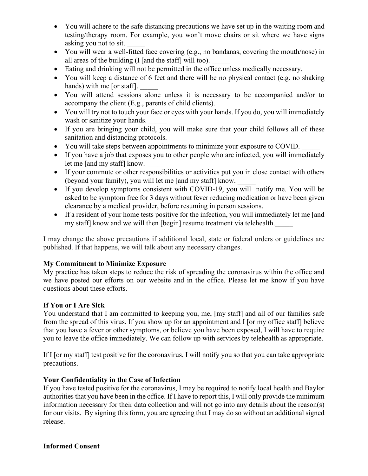- You will adhere to the safe distancing precautions we have set up in the waiting room and testing/therapy room. For example, you won't move chairs or sit where we have signs asking you not to sit.
- You will wear a well-fitted face covering (e.g., no bandanas, covering the mouth/nose) in all areas of the building  $(I \text{ and the staff}]$  will too).
- Eating and drinking will not be permitted in the office unless medically necessary.
- You will keep a distance of 6 feet and there will be no physical contact (e.g. no shaking hands) with me [or staff].
- You will attend sessions alone unless it is necessary to be accompanied and/or to accompany the client (E.g., parents of child clients).
- You will try not to touch your face or eyes with your hands. If you do, you will immediately wash or sanitize your hands.
- If you are bringing your child, you will make sure that your child follows all of these sanitation and distancing protocols.
- You will take steps between appointments to minimize your exposure to COVID. \_\_\_\_\_
- If you have a job that exposes you to other people who are infected, you will immediately let me [and my staff] know.
- If your commute or other responsibilities or activities put you in close contact with others (beyond your family), you will let me [and my staff] know.
- If you develop symptoms consistent with COVID-19, you will notify me. You will be asked to be symptom free for 3 days without fever reducing medication or have been given clearance by a medical provider, before resuming in person sessions.
- If a resident of your home tests positive for the infection, you will immediately let me [and my staff] know and we will then [begin] resume treatment via telehealth.

I may change the above precautions if additional local, state or federal orders or guidelines are published. If that happens, we will talk about any necessary changes.

# **My Commitment to Minimize Exposure**

My practice has taken steps to reduce the risk of spreading the coronavirus within the office and we have posted our efforts on our website and in the office. Please let me know if you have questions about these efforts.

## **If You or I Are Sick**

You understand that I am committed to keeping you, me, [my staff] and all of our families safe from the spread of this virus. If you show up for an appointment and I [or my office staff] believe that you have a fever or other symptoms, or believe you have been exposed, I will have to require you to leave the office immediately. We can follow up with services by telehealth as appropriate.

If I [or my staff] test positive for the coronavirus, I will notify you so that you can take appropriate precautions.

## **Your Confidentiality in the Case of Infection**

If you have tested positive for the coronavirus, I may be required to notify local health and Baylor authorities that you have been in the office. If I have to report this, I will only provide the minimum information necessary for their data collection and will not go into any details about the reason(s) for our visits. By signing this form, you are agreeing that I may do so without an additional signed release.